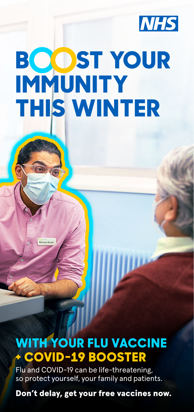

# **BOOST YOUR IMMUNITY THIS WINTER**

**WITH YOUR FLU VACCINE + COVID-19 BOOSTER**

Flu and COVID-19 can be life-threatening, so protect yourself, your family and patients.

Don't delay, get your free vaccines now.